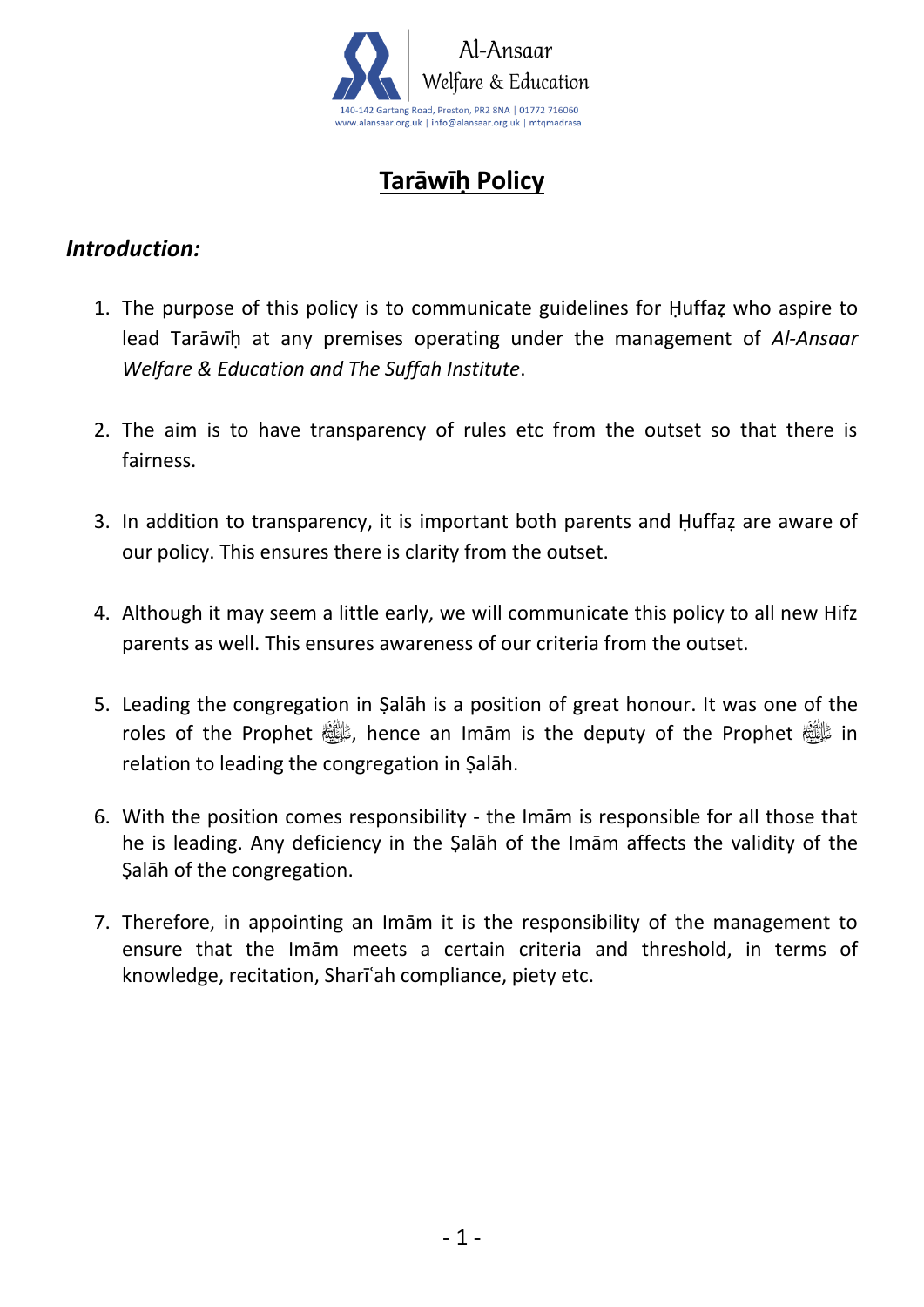

# **Tarāwīḥ Policy**

#### *Introduction:*

- 1. The purpose of this policy is to communicate guidelines for Ḥuffaẓ who aspire to lead Tarāwīḥ at any premises operating under the management of *Al-Ansaar Welfare & Education and The Suffah Institute*.
- 2. The aim is to have transparency of rules etc from the outset so that there is fairness.
- 3. In addition to transparency, it is important both parents and Ḥuffaẓ are aware of our policy. This ensures there is clarity from the outset.
- 4. Although it may seem a little early, we will communicate this policy to all new Hifz parents as well. This ensures awareness of our criteria from the outset.
- 5. Leading the congregation in Ṣalāh is a position of great honour. It was one of the roles of the Prophet  $\frac{1}{2}$ , hence an Imām is the deputy of the Prophet  $\frac{1}{2}$  in relation to leading the congregation in Ṣalāh.
- 6. With the position comes responsibility the Imām is responsible for all those that he is leading. Any deficiency in the Ṣalāh of the Imām affects the validity of the Ṣalāh of the congregation.
- 7. Therefore, in appointing an Imām it is the responsibility of the management to ensure that the Imām meets a certain criteria and threshold, in terms of knowledge, recitation, Sharīʿah compliance, piety etc.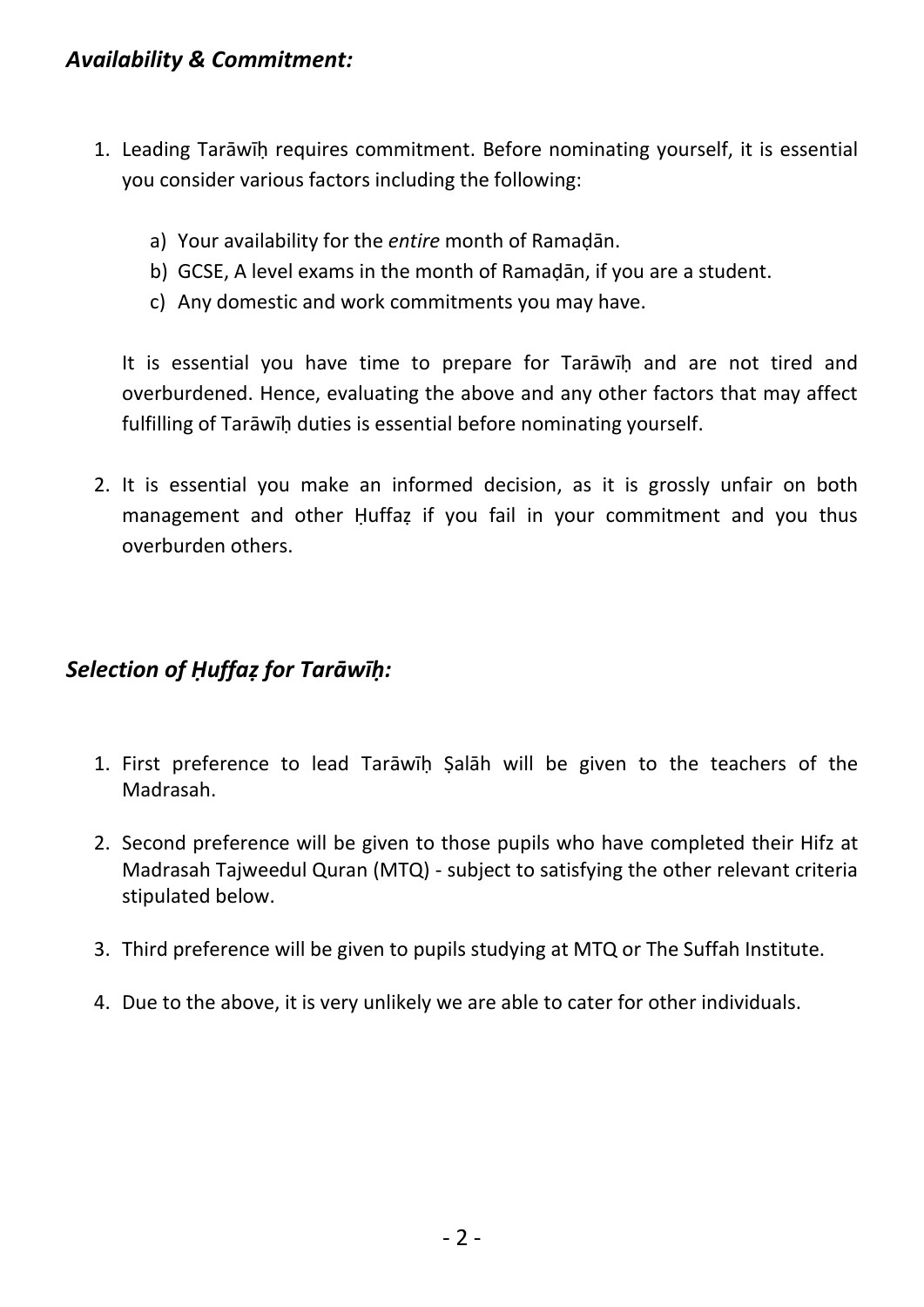### *Availability & Commitment:*

- 1. Leading Tarāwīḥ requires commitment. Before nominating yourself, it is essential you consider various factors including the following:
	- a) Your availability for the *entire* month of Ramaḍān.
	- b) GCSE, A level exams in the month of Ramaḍān, if you are a student.
	- c) Any domestic and work commitments you may have.

It is essential you have time to prepare for Tarāwīḥ and are not tired and overburdened. Hence, evaluating the above and any other factors that may affect fulfilling of Tarāwīḥ duties is essential before nominating yourself.

2. It is essential you make an informed decision, as it is grossly unfair on both management and other Huffaz if you fail in your commitment and you thus overburden others.

### *Selection of Ḥuffaẓ for Tarāwīḥ:*

- 1. First preference to lead Tarāwīḥ Ṣalāh will be given to the teachers of the Madrasah.
- 2. Second preference will be given to those pupils who have completed their Hifz at Madrasah Tajweedul Quran (MTQ) - subject to satisfying the other relevant criteria stipulated below.
- 3. Third preference will be given to pupils studying at MTQ or The Suffah Institute.
- 4. Due to the above, it is very unlikely we are able to cater for other individuals.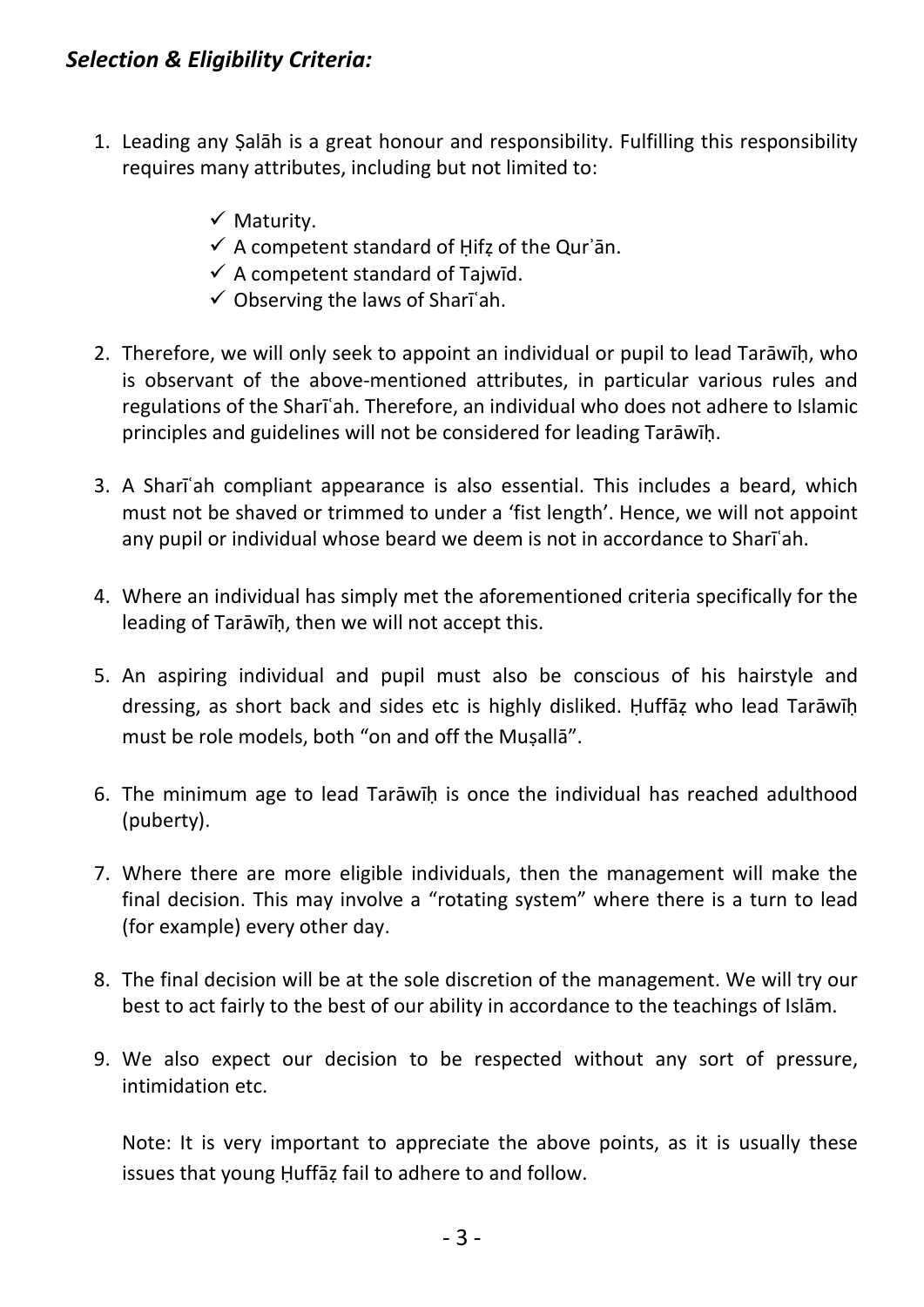## *Selection & Eligibility Criteria:*

- 1. Leading any Ṣalāh is a great honour and responsibility. Fulfilling this responsibility requires many attributes, including but not limited to:
	- ✓ Maturity.
	- $\checkmark$  A competent standard of Hifz of the Qur'an.
	- $\checkmark$  A competent standard of Tajwīd.
	- $\checkmark$  Observing the laws of Shari'ah.
- 2. Therefore, we will only seek to appoint an individual or pupil to lead Tarāwīḥ, who is observant of the above-mentioned attributes, in particular various rules and regulations of the Sharīʿah. Therefore, an individual who does not adhere to Islamic principles and guidelines will not be considered for leading Tarāwīḥ.
- 3. A Sharīʿah compliant appearance is also essential. This includes a beard, which must not be shaved or trimmed to under a 'fist length'. Hence, we will not appoint any pupil or individual whose beard we deem is not in accordance to Sharīʿah.
- 4. Where an individual has simply met the aforementioned criteria specifically for the leading of Tarāwīḥ, then we will not accept this.
- 5. An aspiring individual and pupil must also be conscious of his hairstyle and dressing, as short back and sides etc is highly disliked. Ḥuffāẓ who lead Tarāwīḥ must be role models, both "on and off the Muṣallā".
- 6. The minimum age to lead Tarāwīḥ is once the individual has reached adulthood (puberty).
- 7. Where there are more eligible individuals, then the management will make the final decision. This may involve a "rotating system" where there is a turn to lead (for example) every other day.
- 8. The final decision will be at the sole discretion of the management. We will try our best to act fairly to the best of our ability in accordance to the teachings of Islām.
- 9. We also expect our decision to be respected without any sort of pressure, intimidation etc.

Note: It is very important to appreciate the above points, as it is usually these issues that young Ḥuffāẓ fail to adhere to and follow.